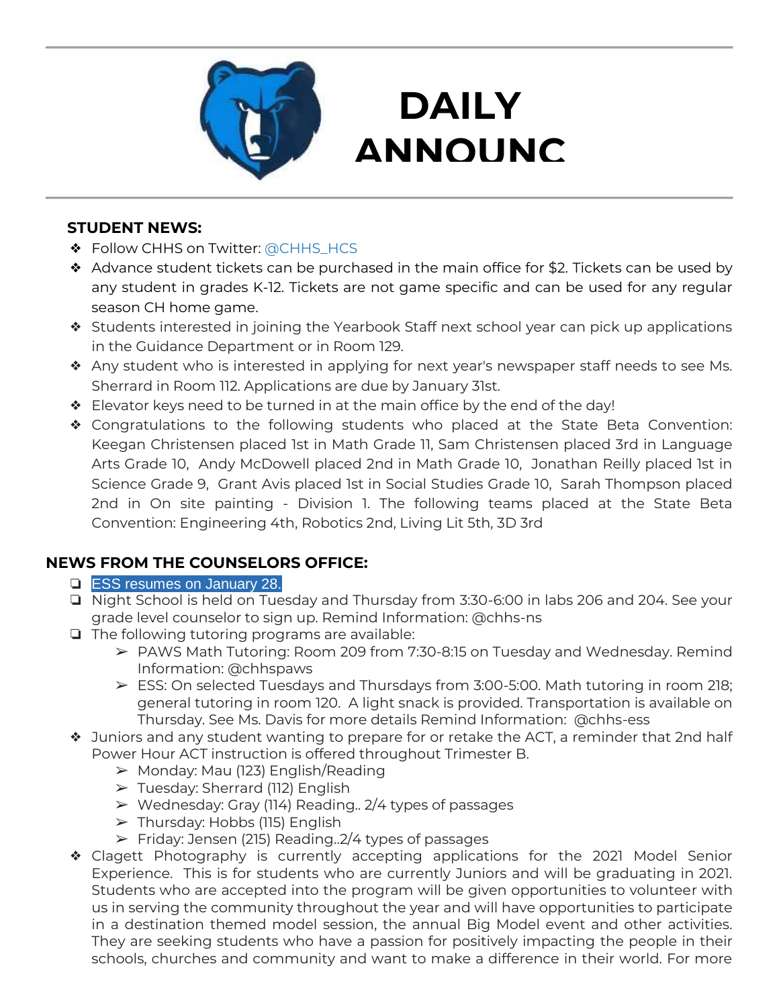

# **DAILY ANNOUNC**

**EMENTS** 

### **STUDENT NEWS:**

- ❖ Follow CHHS on Twitter: [@CHHS\\_HCS](https://twitter.com/CHHS_HCS)
- ❖ Advance student tickets can be purchased in the main office for \$2. Tickets can be used by any student in grades K-12. Tickets are not game specific and can be used for any regular season CH home game.
- ❖ Students interested in joining the Yearbook Staff next school year can pick up applications in the Guidance Department or in Room 129.
- ❖ Any student who is interested in applying for next year's newspaper staff needs to see Ms. Sherrard in Room 112. Applications are due by January 31st.
- ❖ Elevator keys need to be turned in at the main office by the end of the day!
- ❖ Congratulations to the following students who placed at the State Beta Convention: Keegan Christensen placed 1st in Math Grade 11, Sam Christensen placed 3rd in Language Arts Grade 10, Andy McDowell placed 2nd in Math Grade 10, Jonathan Reilly placed 1st in Science Grade 9, Grant Avis placed 1st in Social Studies Grade 10, Sarah Thompson placed 2nd in On site painting - Division 1. The following teams placed at the State Beta Convention: Engineering 4th, Robotics 2nd, Living Lit 5th, 3D 3rd

### **NEWS FROM THE COUNSELORS OFFICE:**

### **□ ESS resumes on January 28.**

- ❏ Night School is held on Tuesday and Thursday from 3:30-6:00 in labs 206 and 204. See your grade level counselor to sign up. Remind Information: @chhs-ns
- ❏ The following tutoring programs are available:
	- ➢ PAWS Math Tutoring: Room 209 from 7:30-8:15 on Tuesday and Wednesday. Remind Information: @chhspaws
	- ➢ ESS: On selected Tuesdays and Thursdays from 3:00-5:00. Math tutoring in room 218; general tutoring in room 120. A light snack is provided. Transportation is available on Thursday. See Ms. Davis for more details Remind Information: @chhs-ess
- ❖ Juniors and any student wanting to prepare for or retake the ACT, a reminder that 2nd half Power Hour ACT instruction is offered throughout Trimester B.
	- ➢ Monday: Mau (123) English/Reading
	- ➢ Tuesday: Sherrard (112) English
	- ➢ Wednesday: Gray (114) Reading.. 2/4 types of passages
	- ➢ Thursday: Hobbs (115) English
	- ➢ Friday: Jensen (215) Reading..2/4 types of passages
- ❖ Clagett Photography is currently accepting applications for the 2021 Model Senior Experience. This is for students who are currently Juniors and will be graduating in 2021. Students who are accepted into the program will be given opportunities to volunteer with us in serving the community throughout the year and will have opportunities to participate in a destination themed model session, the annual Big Model event and other activities. They are seeking students who have a passion for positively impacting the people in their schools, churches and community and want to make a difference in their world. For more